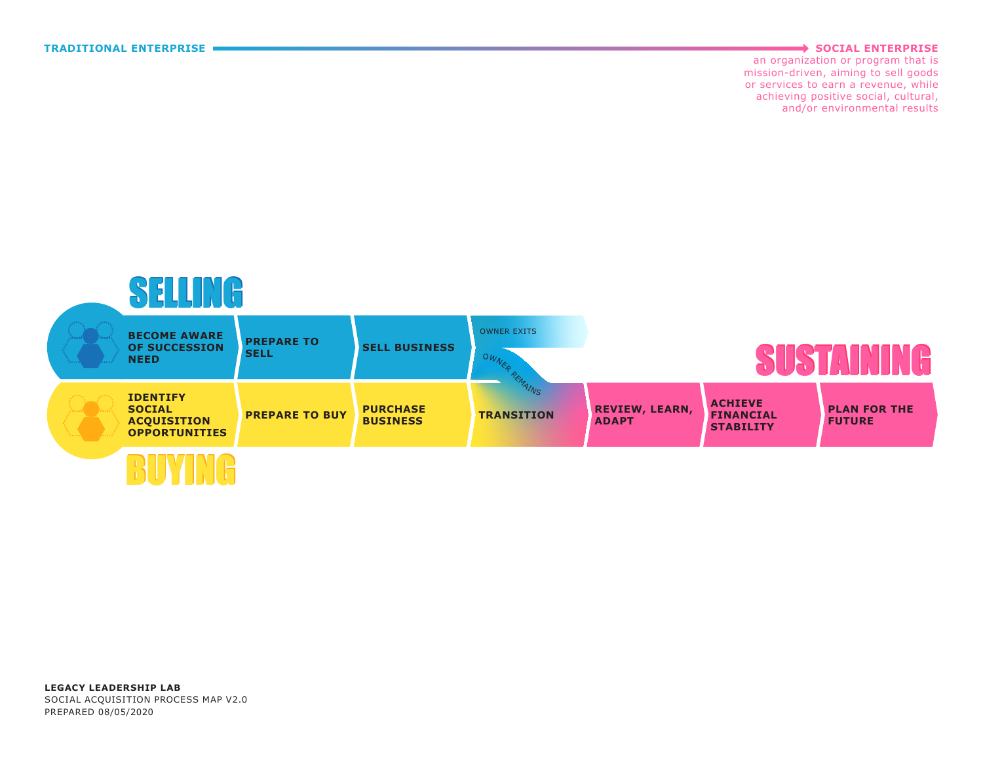## **TRADITIONAL ENTERPRISE SOCIAL ENTERPRISE**

an organization or program that is mission-driven, aiming to sell goods or services to earn a revenue, while achieving positive social, cultural, and/or environmental results